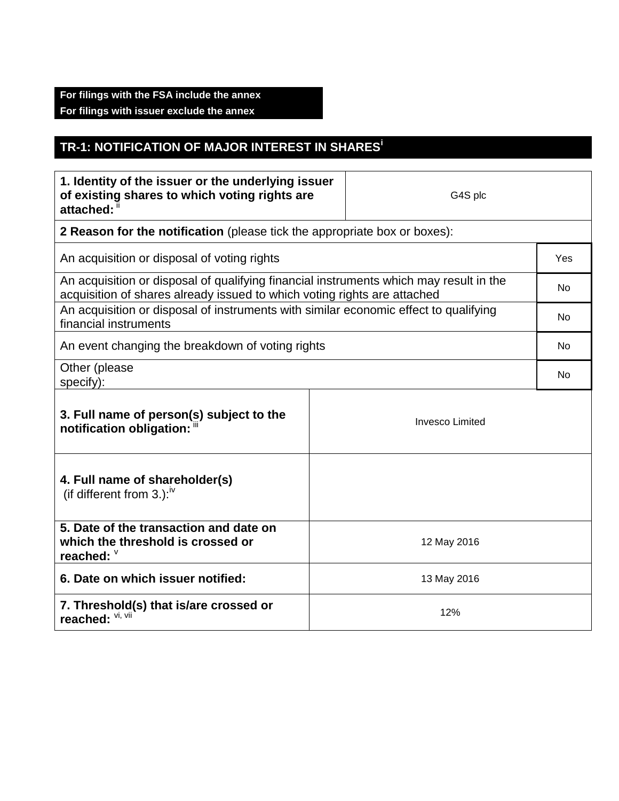## **For filings with the FSA include the annex For filings with issuer exclude the annex**

## **TR-1: NOTIFICATION OF MAJOR INTEREST IN SHARES<sup>i</sup>**

| 1. Identity of the issuer or the underlying issuer<br>of existing shares to which voting rights are<br>attached: ii                                                |  | G4S plc                |     |  |
|--------------------------------------------------------------------------------------------------------------------------------------------------------------------|--|------------------------|-----|--|
| 2 Reason for the notification (please tick the appropriate box or boxes):                                                                                          |  |                        |     |  |
| An acquisition or disposal of voting rights                                                                                                                        |  |                        |     |  |
| An acquisition or disposal of qualifying financial instruments which may result in the<br>acquisition of shares already issued to which voting rights are attached |  |                        | No  |  |
| An acquisition or disposal of instruments with similar economic effect to qualifying<br>financial instruments                                                      |  |                        | No. |  |
| An event changing the breakdown of voting rights                                                                                                                   |  |                        |     |  |
| Other (please<br>specify):                                                                                                                                         |  |                        | No  |  |
| 3. Full name of person(s) subject to the<br>notification obligation: "                                                                                             |  | <b>Invesco Limited</b> |     |  |
| 4. Full name of shareholder(s)<br>(if different from 3.): $\sqrt{v}$                                                                                               |  |                        |     |  |
| 5. Date of the transaction and date on<br>which the threshold is crossed or<br>reached: V                                                                          |  | 12 May 2016            |     |  |
| 6. Date on which issuer notified:                                                                                                                                  |  | 13 May 2016            |     |  |
| 7. Threshold(s) that is/are crossed or<br>reached: Vi, Vii                                                                                                         |  | 12%                    |     |  |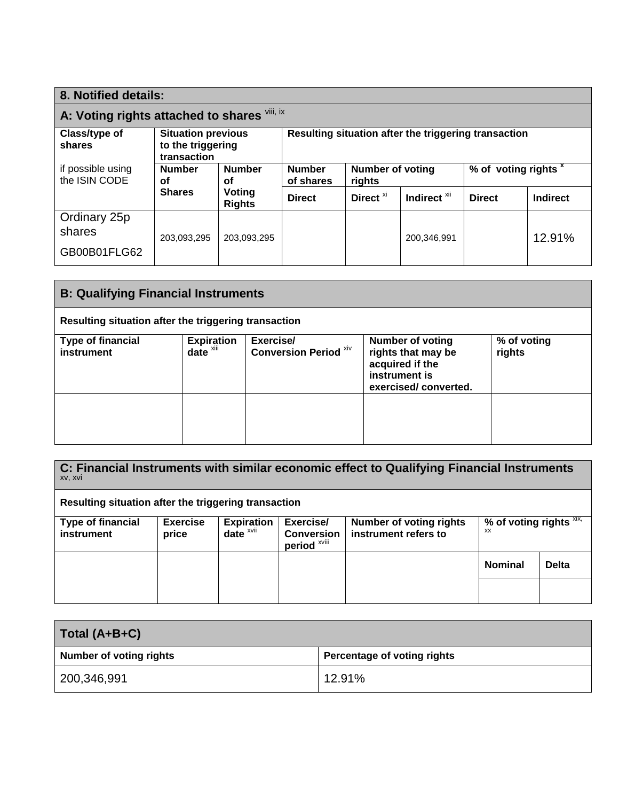| 8. Notified details:                         |                                                               |                            |                                                      |                      |                                 |               |          |
|----------------------------------------------|---------------------------------------------------------------|----------------------------|------------------------------------------------------|----------------------|---------------------------------|---------------|----------|
| A: Voting rights attached to shares Vili, ix |                                                               |                            |                                                      |                      |                                 |               |          |
| Class/type of<br>shares                      | <b>Situation previous</b><br>to the triggering<br>transaction |                            | Resulting situation after the triggering transaction |                      |                                 |               |          |
| if possible using<br>the ISIN CODE           | <b>Number</b><br><b>Number</b><br>οf<br>οf                    | <b>Number</b><br>of shares | <b>Number of voting</b><br>rights                    |                      | % of voting rights <sup>x</sup> |               |          |
|                                              | <b>Shares</b>                                                 | Voting<br><b>Rights</b>    | <b>Direct</b>                                        | Direct <sup>xi</sup> | Indirect <sup>xii</sup>         | <b>Direct</b> | Indirect |
| Ordinary 25p<br>shares                       | 203,093,295                                                   | 203,093,295                |                                                      |                      | 200,346,991                     |               | 12.91%   |
| GB00B01FLG62                                 |                                                               |                            |                                                      |                      |                                 |               |          |

| <b>B: Qualifying Financial Instruments</b>           |                                               |                                           |                                                                                                           |                       |
|------------------------------------------------------|-----------------------------------------------|-------------------------------------------|-----------------------------------------------------------------------------------------------------------|-----------------------|
| Resulting situation after the triggering transaction |                                               |                                           |                                                                                                           |                       |
| <b>Type of financial</b><br>instrument               | <b>Expiration</b><br>$date^{\overline{x}iii}$ | Exercise/<br><b>Conversion Period XIV</b> | <b>Number of voting</b><br>rights that may be<br>acquired if the<br>instrument is<br>exercised/converted. | % of voting<br>rights |
|                                                      |                                               |                                           |                                                                                                           |                       |

| C: Financial Instruments with similar economic effect to Qualifying Financial Instruments<br>XV, XVI |                 |                   |                                              |                                |                         |              |
|------------------------------------------------------------------------------------------------------|-----------------|-------------------|----------------------------------------------|--------------------------------|-------------------------|--------------|
| Resulting situation after the triggering transaction                                                 |                 |                   |                                              |                                |                         |              |
| <b>Type of financial</b>                                                                             | <b>Exercise</b> | <b>Expiration</b> | Exercise/                                    | <b>Number of voting rights</b> | % of voting rights XIX, |              |
| instrument                                                                                           | price           | $date^x$          | <b>Conversion</b><br>period <sup>xviii</sup> | instrument refers to           | <b>XX</b>               |              |
|                                                                                                      |                 |                   |                                              |                                | <b>Nominal</b>          | <b>Delta</b> |
|                                                                                                      |                 |                   |                                              |                                |                         |              |

| Total (A+B+C)                  |                             |  |  |
|--------------------------------|-----------------------------|--|--|
| <b>Number of voting rights</b> | Percentage of voting rights |  |  |
| 200,346,991                    | 12.91%                      |  |  |